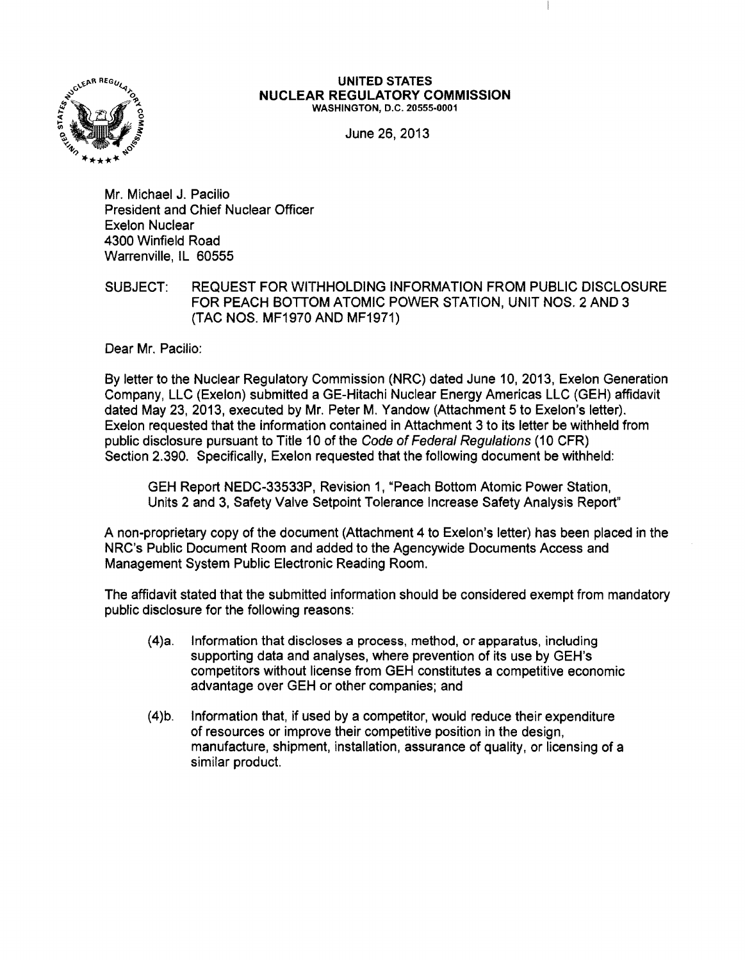

## **UNITED STATES NUCLEAR REGULATORY COMMISSION** WASHINGTON, D.C. 20555-0001

June 26, 2013

Mr. Michael J. Pacilio President and Chief Nuclear Officer Exelon Nuclear 4300 Winfield Road Warrenville, IL 60555

SUBJECT: REQUEST FOR WITHHOLDING INFORMATION FROM PUBLIC DISCLOSURE FOR PEACH BOTTOM ATOMIC POWER STATION, UNIT NOS. 2 AND 3 (TAC NOS. MF1970 AND MF1971)

Dear Mr. Pacilio:

By letter to the Nuclear Regulatory Commission (NRC) dated June 10, 2013, Exelon Generation Company, LLC (Exelon) submitted a GE-Hitachi Nuclear Energy Americas LLC (GEH) affidavit dated May 23, 2013, executed by Mr. Peter M. Yandow (Attachment 5 to Exelon's letter). Exelon requested that the information contained in Attachment 3 to its letter be withheld from public disclosure pursuant to Title 10 of the Code of Federal Regulations (10 CFR) Section 2.390. Specifically, Exelon requested that the following document be withheld:

GEH Report NEDC-33533P, Revision 1, "Peach Bottom Atomic Power Station, Units 2 and 3, Safety Valve Setpoint Tolerance Increase Safety Analysis Report"

A non-proprietary copy of the document (Attachment 4 to Exelon's letter) has been placed in the NRC's Public Document Room and added to the Agencywide Documents Access and Management System Public Electronic Reading Room.

The affidavit stated that the submitted information should be considered exempt from mandatory public disclosure for the following reasons:

- (4)a. Information that discloses a process, method, or apparatus, including supporting data and analyses, where prevention of its use by GEH's competitors without license from GEH constitutes a competitive economic advantage over GEH or other companies; and
- (4)b. Information that, if used by a competitor, would reduce their expenditure of resources or improve their competitive position in the design, manufacture, shipment, installation, assurance of quality, or licensing of a similar product.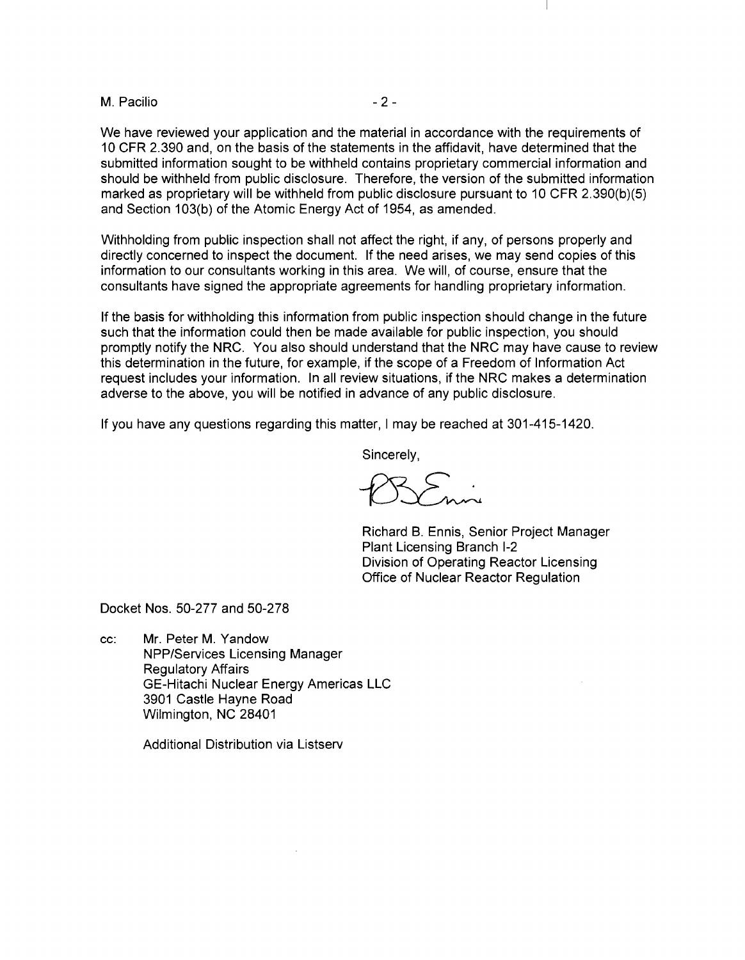M. Pacilio and the contract of the contract of the contract of the contract of the contract of the contract of the contract of the contract of the contract of the contract of the contract of the contract of the contract of

We have reviewed your application and the material in accordance with the requirements of 10 CFR 2.390 and, on the basis of the statements in the affidavit, have determined that the submitted information sought to be withheld contains proprietary commercial information and should be withheld from public disclosure. Therefore, the version of the submitted information marked as proprietary will be withheld from public disclosure pursuant to 10 CFR 2.390(b)(5) and Section 103(b) of the Atomic Energy Act of 1954, as amended.

Withholding from public inspection shall not affect the right, if any, of persons properly and directly concerned to inspect the document. If the need arises, we may send copies of this information to our consultants working in this area. We will, of course, ensure that the consultants have signed the appropriate agreements for handling proprietary information.

If the basis for withholding this information from public inspection should change in the future such that the information could then be made available for public inspection, you should promptly notify the NRC. You also should understand that the NRC may have cause to review this determination in the future, for example, if the scope of a Freedom of Information Act request includes your information. In all review situations, if the NRC makes a determination adverse to the above, you will be notified in advance of any public disclosure.

If you have any questions regarding this matter, I may be reached at 301-415-1420.

Sincerely,

Richard B. Ennis, Senior Project Manager Plant Licensing Branch 1-2 Division of Operating Reactor Licensing Office of Nuclear Reactor Regulation

Docket Nos. 50-277 and 50-278

cc: Mr. Peter M. Yandow NPP/Services Licensing Manager Regulatory Affairs GE-Hitachi Nuclear Energy Americas LLC 3901 Castle Hayne Road Wilmington, NC 28401

Additional Distribution via Listserv